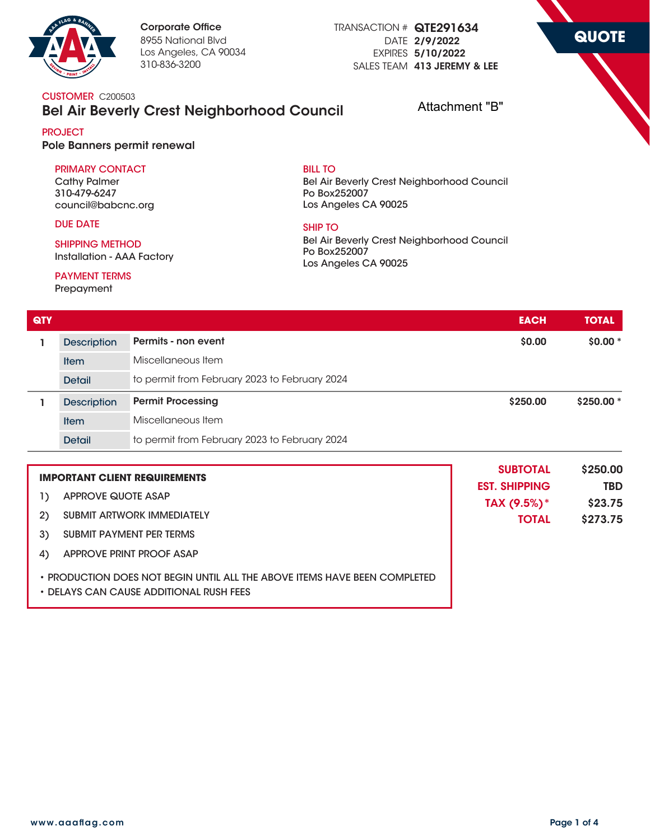

TRANSACTION # QTE291634 DATE 2/9/2022 EXPIRES 5/10/2022 SALES TEAM 413 JEREMY & LEE **QUOTE**

**CUSTOMER** C200503

# Bel Air Beverly Crest Neighborhood Council

Attachment "B"

#### **PROJECT** Pole Banners permit renewal

#### **PRIMARY CONTACT**

**Cathy Palmer 310-479-6247 council@babcnc.org**

#### **DUE DATE**

**SHIPPING METHOD Installation - AAA Factory**

### **PAYMENT TERMS**

**Prepayment**

#### **BILL TO**

**Bel Air Beverly Crest Neighborhood Council Po Box252007 Los Angeles CA 90025**

## **SHIP TO**

**Bel Air Beverly Crest Neighborhood Council Po Box252007 Los Angeles CA 90025**

| <b>QTY</b>                           |                                   |                                               | <b>EACH</b>            | <b>TOTAL</b> |
|--------------------------------------|-----------------------------------|-----------------------------------------------|------------------------|--------------|
| 1                                    | <b>Description</b>                | Permits - non event                           | \$0.00                 | $$0.00*$     |
|                                      | <b>Item</b>                       | Miscellaneous Item                            |                        |              |
|                                      | <b>Detail</b>                     | to permit from February 2023 to February 2024 |                        |              |
| ı                                    | <b>Description</b>                | <b>Permit Processing</b>                      | \$250,00               | \$250.00 *   |
|                                      | <b>Item</b>                       | Miscellaneous Item                            |                        |              |
|                                      | <b>Detail</b>                     | to permit from February 2023 to February 2024 |                        |              |
| <b>IMPORTANT CLIENT REQUIREMENTS</b> |                                   | <b>SUBTOTAL</b><br><b>EST. SHIPPING</b>       | \$250.00<br><b>TBD</b> |              |
| $\mathbf{1}$                         | <b>APPROVE QUOTE ASAP</b>         |                                               | TAX (9.5%)*            | \$23.75      |
| 2)                                   | <b>SUBMIT ARTWORK IMMEDIATELY</b> |                                               | <b>TOTAL</b>           | \$273.75     |
| 3)                                   | <b>SUBMIT PAYMENT PER TERMS</b>   |                                               |                        |              |
| 4)                                   | APPROVE PRINT PROOF ASAP          |                                               |                        |              |

**• PRODUCTION DOES NOT BEGIN UNTIL ALL THE ABOVE ITEMS HAVE BEEN COMPLETED**

**• DELAYS CAN CAUSE ADDITIONAL RUSH FEES**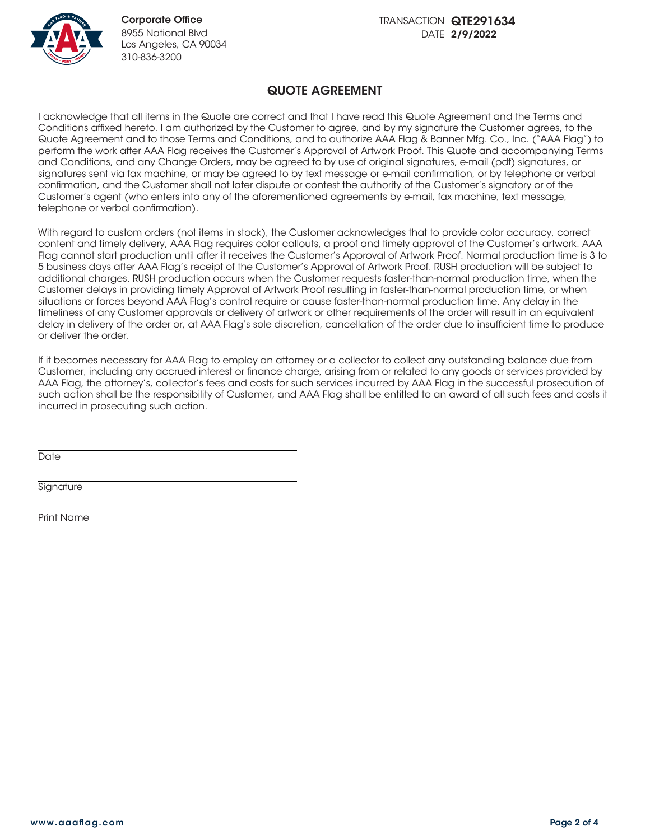

## QUOTE AGREEMENT

I acknowledge that all items in the Quote are correct and that I have read this Quote Agreement and the Terms and Conditions affixed hereto. I am authorized by the Customer to agree, and by my signature the Customer agrees, to the Quote Agreement and to those Terms and Conditions, and to authorize AAA Flag & Banner Mfg. Co., Inc. ("AAA Flag") to perform the work after AAA Flag receives the Customer's Approval of Artwork Proof. This Quote and accompanying Terms and Conditions, and any Change Orders, may be agreed to by use of original signatures, e-mail (pdf) signatures, or signatures sent via fax machine, or may be agreed to by text message or e-mail confirmation, or by telephone or verbal confirmation, and the Customer shall not later dispute or contest the authority of the Customer's signatory or of the Customer's agent (who enters into any of the aforementioned agreements by e-mail, fax machine, text message, telephone or verbal confirmation).

With regard to custom orders (not items in stock), the Customer acknowledges that to provide color accuracy, correct content and timely delivery, AAA Flag requires color callouts, a proof and timely approval of the Customer's artwork. AAA Flag cannot start production until after it receives the Customer's Approval of Artwork Proof. Normal production time is 3 to 5 business days after AAA Flag's receipt of the Customer's Approval of Artwork Proof. RUSH production will be subject to additional charges. RUSH production occurs when the Customer requests faster-than-normal production time, when the Customer delays in providing timely Approval of Artwork Proof resulting in faster-than-normal production time, or when situations or forces beyond AAA Flag's control require or cause faster-than-normal production time. Any delay in the timeliness of any Customer approvals or delivery of artwork or other requirements of the order will result in an equivalent delay in delivery of the order or, at AAA Flag's sole discretion, cancellation of the order due to insufficient time to produce or deliver the order.

If it becomes necessary for AAA Flag to employ an attorney or a collector to collect any outstanding balance due from Customer, including any accrued interest or finance charge, arising from or related to any goods or services provided by AAA Flag, the attorney's, collector's fees and costs for such services incurred by AAA Flag in the successful prosecution of such action shall be the responsibility of Customer, and AAA Flag shall be entitled to an award of all such fees and costs it incurred in prosecuting such action.

**Date** 

**Signature** 

Print Name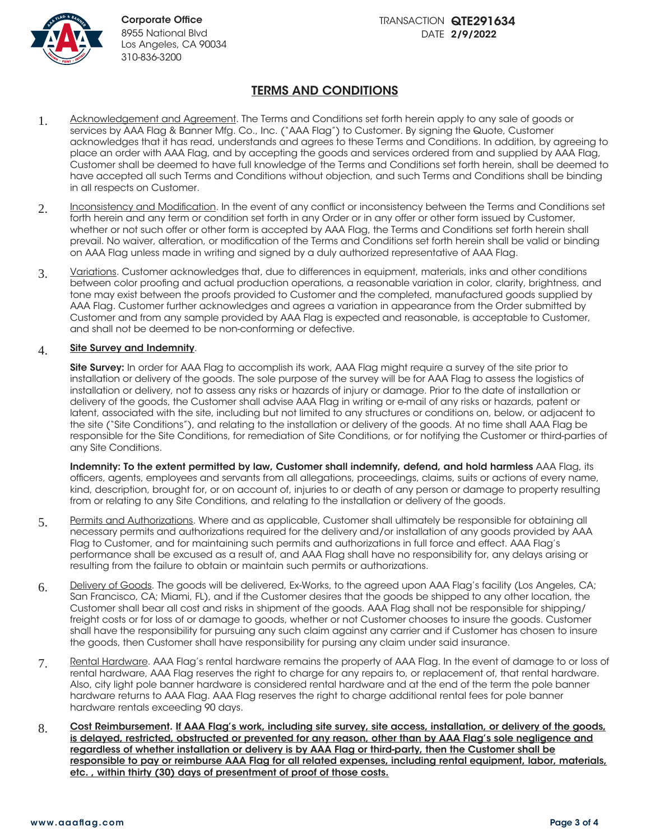

# TERMS AND CONDITIONS

- 1. Acknowledgement and Agreement. The Terms and Conditions set forth herein apply to any sale of goods or services by AAA Flag & Banner Mfg. Co., Inc. ("AAA Flag") to Customer. By signing the Quote, Customer acknowledges that it has read, understands and agrees to these Terms and Conditions. In addition, by agreeing to place an order with AAA Flag, and by accepting the goods and services ordered from and supplied by AAA Flag, Customer shall be deemed to have full knowledge of the Terms and Conditions set forth herein, shall be deemed to have accepted all such Terms and Conditions without objection, and such Terms and Conditions shall be binding in all respects on Customer.
- 2. Inconsistency and Modification. In the event of any conflict or inconsistency between the Terms and Conditions set forth herein and any term or condition set forth in any Order or in any offer or other form issued by Customer, whether or not such offer or other form is accepted by AAA Flag, the Terms and Conditions set forth herein shall prevail. No waiver, alteration, or modification of the Terms and Conditions set forth herein shall be valid or binding on AAA Flag unless made in writing and signed by a duly authorized representative of AAA Flag.
- 3. Variations. Customer acknowledges that, due to differences in equipment, materials, inks and other conditions between color proofing and actual production operations, a reasonable variation in color, clarity, brightness, and tone may exist between the proofs provided to Customer and the completed, manufactured goods supplied by AAA Flag. Customer further acknowledges and agrees a variation in appearance from the Order submitted by Customer and from any sample provided by AAA Flag is expected and reasonable, is acceptable to Customer, and shall not be deemed to be non-conforming or defective.

#### 4. Site Survey and Indemnity.

Site Survey: In order for AAA Flag to accomplish its work, AAA Flag might require a survey of the site prior to installation or delivery of the goods. The sole purpose of the survey will be for AAA Flag to assess the logistics of installation or delivery, not to assess any risks or hazards of injury or damage. Prior to the date of installation or delivery of the goods, the Customer shall advise AAA Flag in writing or e-mail of any risks or hazards, patent or latent, associated with the site, including but not limited to any structures or conditions on, below, or adjacent to the site ("Site Conditions"), and relating to the installation or delivery of the goods. At no time shall AAA Flag be responsible for the Site Conditions, for remediation of Site Conditions, or for notifying the Customer or third-parties of any Site Conditions.

Indemnity: To the extent permitted by law, Customer shall indemnify, defend, and hold harmless AAA Flag, its officers, agents, employees and servants from all allegations, proceedings, claims, suits or actions of every name, kind, description, brought for, or on account of, injuries to or death of any person or damage to property resulting from or relating to any Site Conditions, and relating to the installation or delivery of the goods.

- 5. Permits and Authorizations. Where and as applicable, Customer shall ultimately be responsible for obtaining all necessary permits and authorizations required for the delivery and/or installation of any goods provided by AAA Flag to Customer, and for maintaining such permits and authorizations in full force and effect. AAA Flag's performance shall be excused as a result of, and AAA Flag shall have no responsibility for, any delays arising or resulting from the failure to obtain or maintain such permits or authorizations.
- 6. Delivery of Goods. The goods will be delivered, Ex-Works, to the agreed upon AAA Flag's facility (Los Angeles, CA; San Francisco, CA; Miami, FL), and if the Customer desires that the goods be shipped to any other location, the Customer shall bear all cost and risks in shipment of the goods. AAA Flag shall not be responsible for shipping/ freight costs or for loss of or damage to goods, whether or not Customer chooses to insure the goods. Customer shall have the responsibility for pursuing any such claim against any carrier and if Customer has chosen to insure the goods, then Customer shall have responsibility for pursing any claim under said insurance.
- 7. Rental Hardware. AAA Flag's rental hardware remains the property of AAA Flag. In the event of damage to or loss of rental hardware, AAA Flag reserves the right to charge for any repairs to, or replacement of, that rental hardware. Also, city light pole banner hardware is considered rental hardware and at the end of the term the pole banner hardware returns to AAA Flag. AAA Flag reserves the right to charge additional rental fees for pole banner hardware rentals exceeding 90 days.
- 8. Cost Reimbursement. If AAA Flag's work, including site survey, site access, installation, or delivery of the goods, is delayed, restricted, obstructed or prevented for any reason, other than by AAA Flag's sole negligence and regardless of whether installation or delivery is by AAA Flag or third-party, then the Customer shall be responsible to pay or reimburse AAA Flag for all related expenses, including rental equipment, labor, materials, etc. , within thirty (30) days of presentment of proof of those costs.